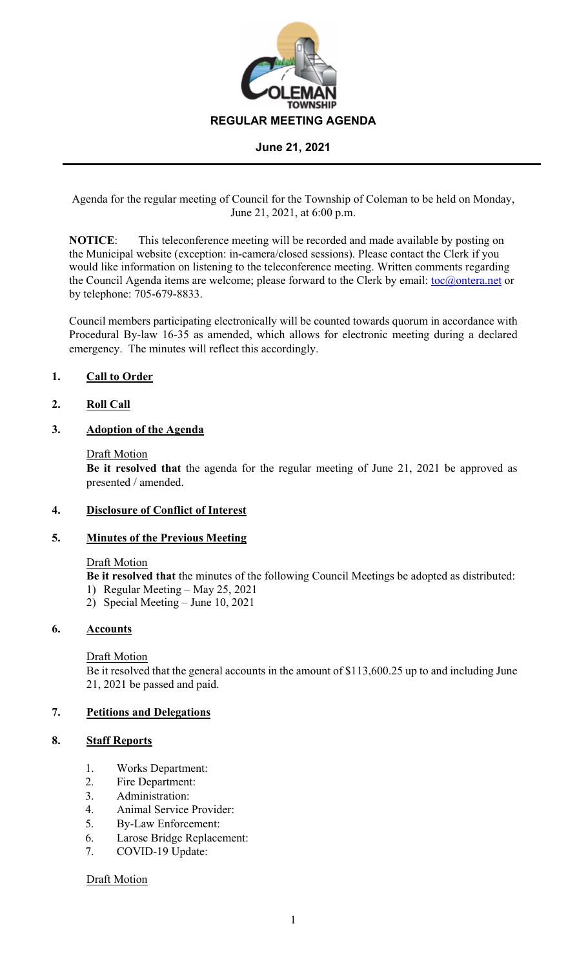

Agenda for the regular meeting of Council for the Township of Coleman to be held on Monday, June 21, 2021, at 6:00 p.m.

**NOTICE**: This teleconference meeting will be recorded and made available by posting on the Municipal website (exception: in-camera/closed sessions). Please contact the Clerk if you would like information on listening to the teleconference meeting. Written comments regarding the Council Agenda items are welcome; please forward to the Clerk by email: toc@ontera.net or by telephone: 705-679-8833.

Council members participating electronically will be counted towards quorum in accordance with Procedural By-law 16-35 as amended, which allows for electronic meeting during a declared emergency. The minutes will reflect this accordingly.

# **1. Call to Order**

#### **2. Roll Call**

## **3. Adoption of the Agenda**

#### Draft Motion

**Be it resolved that** the agenda for the regular meeting of June 21, 2021 be approved as presented / amended.

#### **4. Disclosure of Conflict of Interest**

#### **5. Minutes of the Previous Meeting**

#### Draft Motion

**Be it resolved that** the minutes of the following Council Meetings be adopted as distributed:

- 1) Regular Meeting May 25, 2021
- 2) Special Meeting June 10, 2021

## **6. Accounts**

#### Draft Motion

Be it resolved that the general accounts in the amount of \$113,600.25 up to and including June 21, 2021 be passed and paid.

#### **7. Petitions and Delegations**

#### **8. Staff Reports**

- 1. Works Department:
- 2. Fire Department:
- 3. Administration:
- 4. Animal Service Provider:
- 5. By-Law Enforcement:
- 6. Larose Bridge Replacement:
- 7. COVID-19 Update:

#### Draft Motion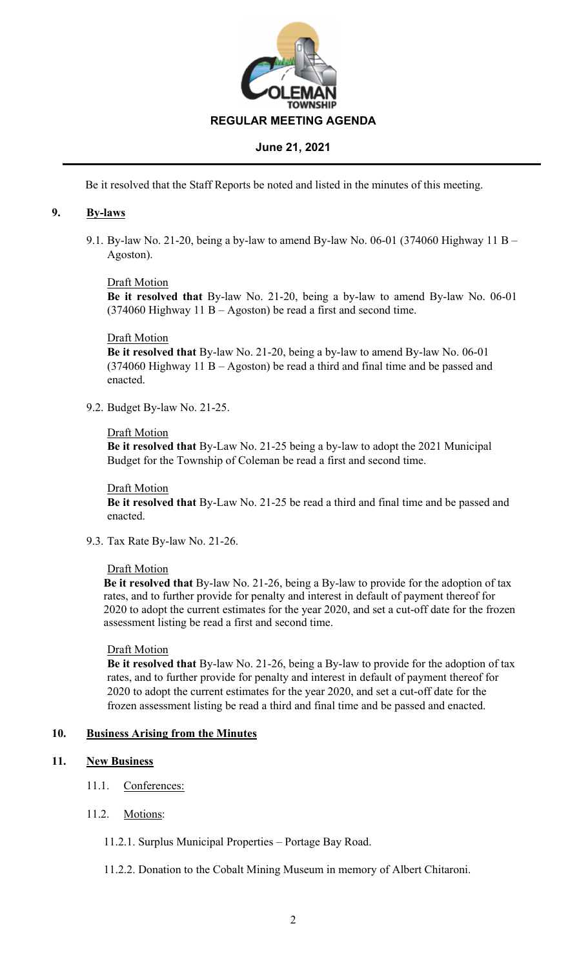

Be it resolved that the Staff Reports be noted and listed in the minutes of this meeting.

#### **9. By-laws**

9.1. By-law No. 21-20, being a by-law to amend By-law No. 06-01 (374060 Highway 11 B – Agoston).

#### Draft Motion

**Be it resolved that** By-law No. 21-20, being a by-law to amend By-law No. 06-01  $(374060$  Highway 11 B – Agoston) be read a first and second time.

#### Draft Motion

**Be it resolved that** By-law No. 21-20, being a by-law to amend By-law No. 06-01 (374060 Highway 11 B – Agoston) be read a third and final time and be passed and enacted.

9.2. Budget By-law No. 21-25.

#### Draft Motion

**Be it resolved that** By-Law No. 21-25 being a by-law to adopt the 2021 Municipal Budget for the Township of Coleman be read a first and second time.

#### Draft Motion

**Be it resolved that** By-Law No. 21-25 be read a third and final time and be passed and enacted.

9.3. Tax Rate By-law No. 21-26.

#### Draft Motion

**Be it resolved that** By-law No. 21-26, being a By-law to provide for the adoption of tax rates, and to further provide for penalty and interest in default of payment thereof for 2020 to adopt the current estimates for the year 2020, and set a cut-off date for the frozen assessment listing be read a first and second time.

#### Draft Motion

**Be it resolved that** By-law No. 21-26, being a By-law to provide for the adoption of tax rates, and to further provide for penalty and interest in default of payment thereof for 2020 to adopt the current estimates for the year 2020, and set a cut-off date for the frozen assessment listing be read a third and final time and be passed and enacted.

#### **10. Business Arising from the Minutes**

#### **11. New Business**

- 11.1. Conferences:
- 11.2. Motions:
	- 11.2.1. Surplus Municipal Properties Portage Bay Road.
	- 11.2.2. Donation to the Cobalt Mining Museum in memory of Albert Chitaroni.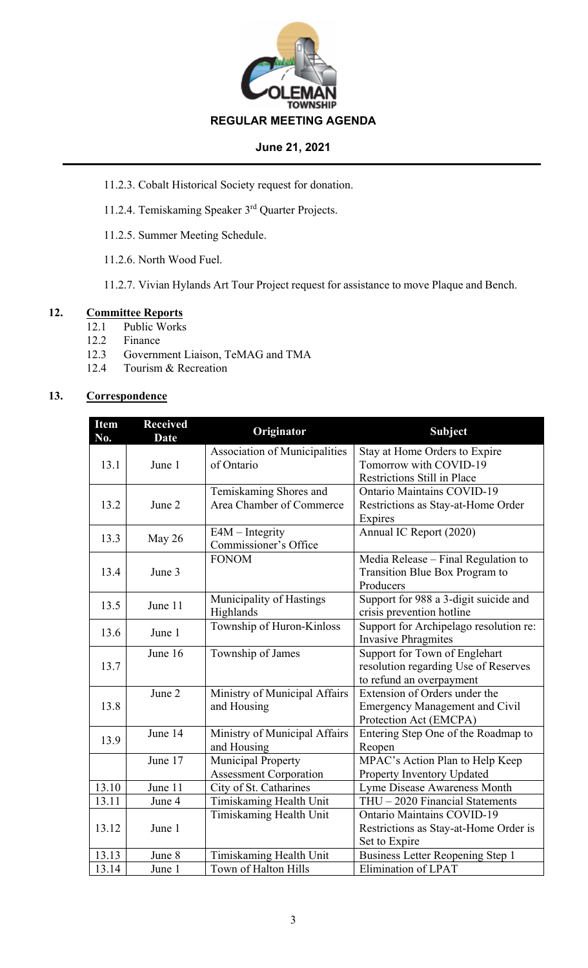

- 11.2.3. Cobalt Historical Society request for donation.
- 11.2.4. Temiskaming Speaker 3rd Quarter Projects.
- 11.2.5. Summer Meeting Schedule.
- 11.2.6. North Wood Fuel.
- 11.2.7. Vivian Hylands Art Tour Project request for assistance to move Plaque and Bench.

# **12. Committee Reports**

12.1 Public Works

# 12.2 Finance<br>12.3 Governn

- 12.3 Government Liaison, TeMAG and TMA
- 12.4 Tourism & Recreation

# **13. Correspondence**

| <b>Item</b><br>No. | <b>Received</b><br><b>Date</b> | Originator                    | <b>Subject</b>                         |  |
|--------------------|--------------------------------|-------------------------------|----------------------------------------|--|
|                    |                                | Association of Municipalities | Stay at Home Orders to Expire          |  |
| 13.1               | June 1                         | of Ontario                    | Tomorrow with COVID-19                 |  |
|                    |                                |                               | Restrictions Still in Place            |  |
|                    |                                | Temiskaming Shores and        | <b>Ontario Maintains COVID-19</b>      |  |
| 13.2               | June 2                         | Area Chamber of Commerce      | Restrictions as Stay-at-Home Order     |  |
|                    |                                |                               | Expires                                |  |
| 13.3               | May 26                         | $E4M - Integrity$             | Annual IC Report (2020)                |  |
|                    |                                | Commissioner's Office         |                                        |  |
|                    |                                | <b>FONOM</b>                  | Media Release - Final Regulation to    |  |
| 13.4               | June 3                         |                               | Transition Blue Box Program to         |  |
|                    |                                |                               | Producers                              |  |
| 13.5               | June 11                        | Municipality of Hastings      | Support for 988 a 3-digit suicide and  |  |
|                    |                                | Highlands                     | crisis prevention hotline              |  |
| 13.6               | June 1                         | Township of Huron-Kinloss     | Support for Archipelago resolution re: |  |
|                    |                                |                               | <b>Invasive Phragmites</b>             |  |
|                    | June 16                        | Township of James             | Support for Town of Englehart          |  |
| 13.7               |                                |                               | resolution regarding Use of Reserves   |  |
|                    |                                |                               | to refund an overpayment               |  |
|                    | June 2                         | Ministry of Municipal Affairs | Extension of Orders under the          |  |
| 13.8               |                                | and Housing                   | <b>Emergency Management and Civil</b>  |  |
|                    |                                |                               | Protection Act (EMCPA)                 |  |
| 13.9               | June 14                        | Ministry of Municipal Affairs | Entering Step One of the Roadmap to    |  |
|                    |                                | and Housing                   | Reopen                                 |  |
|                    | June 17                        | <b>Municipal Property</b>     | MPAC's Action Plan to Help Keep        |  |
|                    |                                | <b>Assessment Corporation</b> | Property Inventory Updated             |  |
| 13.10              | June 11                        | City of St. Catharines        | Lyme Disease Awareness Month           |  |
| 13.11              | June 4                         | Timiskaming Health Unit       | THU - 2020 Financial Statements        |  |
| 13.12              | June 1                         | Timiskaming Health Unit       | <b>Ontario Maintains COVID-19</b>      |  |
|                    |                                |                               | Restrictions as Stay-at-Home Order is  |  |
|                    |                                |                               | Set to Expire                          |  |
| 13.13              | June 8                         | Timiskaming Health Unit       | Business Letter Reopening Step 1       |  |
| 13.14              | June 1                         | Town of Halton Hills          | Elimination of LPAT                    |  |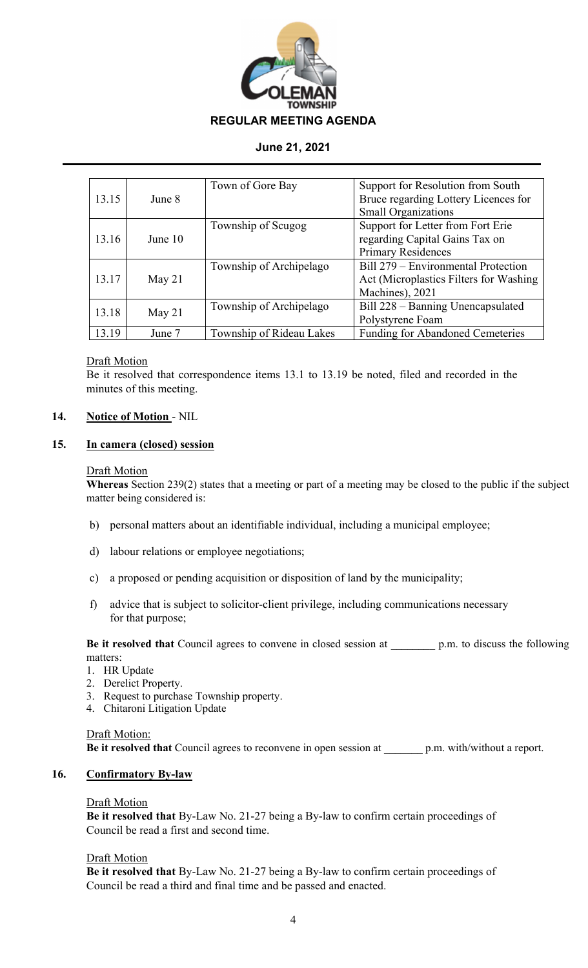

|       |           | Town of Gore Bay         | Support for Resolution from South       |
|-------|-----------|--------------------------|-----------------------------------------|
| 13.15 | June 8    |                          | Bruce regarding Lottery Licences for    |
|       |           |                          | <b>Small Organizations</b>              |
|       |           | Township of Scugog       | Support for Letter from Fort Erie       |
| 13.16 | June $10$ |                          | regarding Capital Gains Tax on          |
|       |           |                          | <b>Primary Residences</b>               |
|       |           | Township of Archipelago  | Bill 279 – Environmental Protection     |
| 13.17 | May 21    |                          | Act (Microplastics Filters for Washing  |
|       |           |                          | Machines), 2021                         |
| 13.18 | May 21    | Township of Archipelago  | Bill 228 – Banning Unencapsulated       |
|       |           |                          | Polystyrene Foam                        |
| 13.19 | June 7    | Township of Rideau Lakes | <b>Funding for Abandoned Cemeteries</b> |

#### Draft Motion

Be it resolved that correspondence items 13.1 to 13.19 be noted, filed and recorded in the minutes of this meeting.

#### **14. Notice of Motion** - NIL

#### **15. In camera (closed) session**

#### Draft Motion

**Whereas** Section 239(2) states that a meeting or part of a meeting may be closed to the public if the subject matter being considered is:

- b) personal matters about an identifiable individual, including a municipal employee;
- d) labour relations or employee negotiations;
- c) a proposed or pending acquisition or disposition of land by the municipality;
- f) advice that is subject to solicitor-client privilege, including communications necessary for that purpose;

**Be it resolved that** Council agrees to convene in closed session at \_\_\_\_\_\_\_\_ p.m. to discuss the following matters:

- 1. HR Update
- 2. Derelict Property.
- 3. Request to purchase Township property.
- 4. Chitaroni Litigation Update

#### Draft Motion:

**Be it resolved that** Council agrees to reconvene in open session at \_\_\_\_\_\_\_ p.m. with/without a report.

#### **16. Confirmatory By-law**

#### Draft Motion

**Be it resolved that** By-Law No. 21-27 being a By-law to confirm certain proceedings of Council be read a first and second time.

#### Draft Motion

**Be it resolved that** By-Law No. 21-27 being a By-law to confirm certain proceedings of Council be read a third and final time and be passed and enacted.